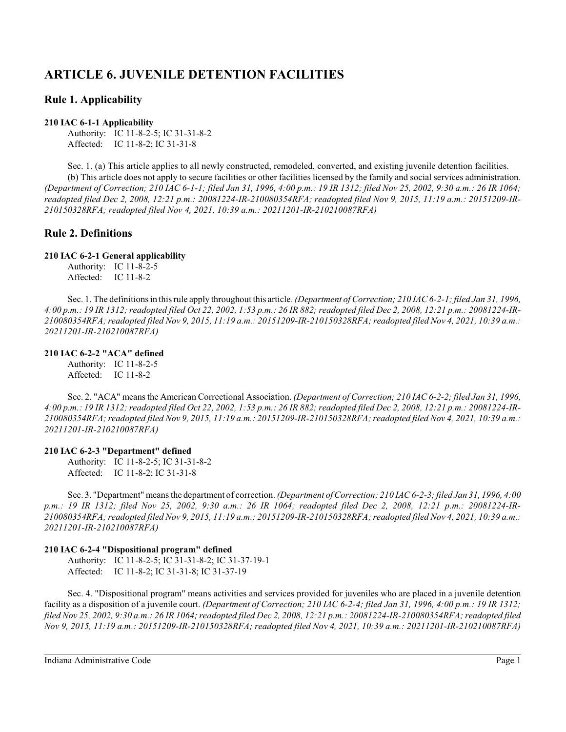# **ARTICLE 6. JUVENILE DETENTION FACILITIES**

## **Rule 1. Applicability**

## **210 IAC 6-1-1 Applicability**

Authority: IC 11-8-2-5; IC 31-31-8-2 Affected: IC 11-8-2; IC 31-31-8

Sec. 1. (a) This article applies to all newly constructed, remodeled, converted, and existing juvenile detention facilities. (b) This article does not apply to secure facilities or other facilities licensed by the family and social services administration. *(Department of Correction; 210 IAC 6-1-1; filed Jan 31, 1996, 4:00 p.m.: 19 IR 1312; filed Nov 25, 2002, 9:30 a.m.: 26 IR 1064; readopted filed Dec 2, 2008, 12:21 p.m.: 20081224-IR-210080354RFA; readopted filed Nov 9, 2015, 11:19 a.m.: 20151209-IR-210150328RFA; readopted filed Nov 4, 2021, 10:39 a.m.: 20211201-IR-210210087RFA)*

# **Rule 2. Definitions**

## **210 IAC 6-2-1 General applicability**

Authority: IC 11-8-2-5 Affected: IC 11-8-2

Sec. 1. The definitionsin thisrule apply throughout this article. *(Department of Correction; 210 IAC 6-2-1; filed Jan 31, 1996, 4:00 p.m.: 19 IR 1312; readopted filed Oct 22, 2002, 1:53 p.m.: 26 IR 882; readopted filed Dec 2, 2008, 12:21 p.m.: 20081224-IR-210080354RFA; readopted filed Nov 9, 2015, 11:19 a.m.: 20151209-IR-210150328RFA; readopted filed Nov 4, 2021, 10:39 a.m.: 20211201-IR-210210087RFA)*

## **210 IAC 6-2-2 "ACA" defined**

Authority: IC 11-8-2-5 Affected: IC 11-8-2

Sec. 2. "ACA" means the American Correctional Association. *(Department of Correction; 210 IAC 6-2-2; filed Jan 31, 1996, 4:00 p.m.: 19 IR 1312; readopted filed Oct 22, 2002, 1:53 p.m.: 26 IR 882; readopted filed Dec 2, 2008, 12:21 p.m.: 20081224-IR-210080354RFA; readopted filed Nov 9, 2015, 11:19 a.m.: 20151209-IR-210150328RFA; readopted filed Nov 4, 2021, 10:39 a.m.: 20211201-IR-210210087RFA)*

## **210 IAC 6-2-3 "Department" defined**

Authority: IC 11-8-2-5; IC 31-31-8-2 Affected: IC 11-8-2; IC 31-31-8

Sec. 3. "Department" meansthe department of correction. *(Department of Correction; 210 IAC6-2-3;filed Jan 31, 1996, 4:00 p.m.: 19 IR 1312; filed Nov 25, 2002, 9:30 a.m.: 26 IR 1064; readopted filed Dec 2, 2008, 12:21 p.m.: 20081224-IR-210080354RFA; readopted filed Nov 9, 2015, 11:19 a.m.: 20151209-IR-210150328RFA; readopted filed Nov 4, 2021, 10:39 a.m.: 20211201-IR-210210087RFA)*

## **210 IAC 6-2-4 "Dispositional program" defined**

Authority: IC 11-8-2-5; IC 31-31-8-2; IC 31-37-19-1 Affected: IC 11-8-2; IC 31-31-8; IC 31-37-19

Sec. 4. "Dispositional program" means activities and services provided for juveniles who are placed in a juvenile detention facility as a disposition of a juvenile court. *(Department of Correction; 210 IAC 6-2-4; filed Jan 31, 1996, 4:00 p.m.: 19 IR 1312; filed Nov 25, 2002, 9:30 a.m.: 26 IR 1064; readopted filed Dec 2, 2008, 12:21 p.m.: 20081224-IR-210080354RFA; readopted filed Nov 9, 2015, 11:19 a.m.: 20151209-IR-210150328RFA; readopted filed Nov 4, 2021, 10:39 a.m.: 20211201-IR-210210087RFA)*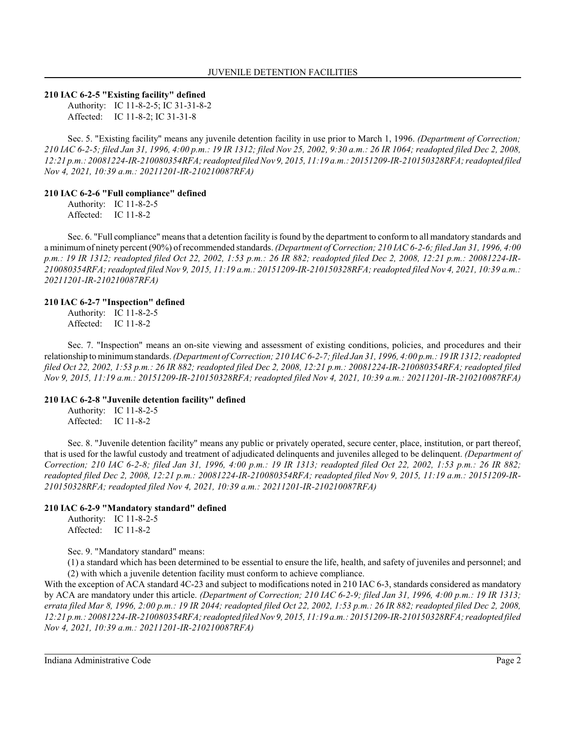## **210 IAC 6-2-5 "Existing facility" defined**

Authority: IC 11-8-2-5; IC 31-31-8-2 Affected: IC 11-8-2; IC 31-31-8

Sec. 5. "Existing facility" means any juvenile detention facility in use prior to March 1, 1996. *(Department of Correction; 210 IAC 6-2-5; filed Jan 31, 1996, 4:00 p.m.: 19 IR 1312; filed Nov 25, 2002, 9:30 a.m.: 26 IR 1064; readopted filed Dec 2, 2008, 12:21 p.m.: 20081224-IR-210080354RFA; readopted filed Nov 9, 2015, 11:19 a.m.: 20151209-IR-210150328RFA; readopted filed Nov 4, 2021, 10:39 a.m.: 20211201-IR-210210087RFA)*

## **210 IAC 6-2-6 "Full compliance" defined**

Authority: IC 11-8-2-5 Affected: IC 11-8-2

Sec. 6. "Full compliance" means that a detention facility is found by the department to conform to all mandatory standards and a minimumof ninety percent (90%) of recommended standards. *(Department of Correction; 210 IAC 6-2-6; filed Jan 31, 1996, 4:00 p.m.: 19 IR 1312; readopted filed Oct 22, 2002, 1:53 p.m.: 26 IR 882; readopted filed Dec 2, 2008, 12:21 p.m.: 20081224-IR-210080354RFA; readopted filed Nov 9, 2015, 11:19 a.m.: 20151209-IR-210150328RFA; readopted filed Nov 4, 2021, 10:39 a.m.: 20211201-IR-210210087RFA)*

#### **210 IAC 6-2-7 "Inspection" defined**

Authority: IC 11-8-2-5 Affected: IC 11-8-2

Sec. 7. "Inspection" means an on-site viewing and assessment of existing conditions, policies, and procedures and their relationship to minimumstandards. *(Department of Correction; 210 IAC 6-2-7; filed Jan 31, 1996, 4:00 p.m.: 19 IR 1312; readopted filed Oct 22, 2002, 1:53 p.m.: 26 IR 882; readopted filed Dec 2, 2008, 12:21 p.m.: 20081224-IR-210080354RFA; readopted filed Nov 9, 2015, 11:19 a.m.: 20151209-IR-210150328RFA; readopted filed Nov 4, 2021, 10:39 a.m.: 20211201-IR-210210087RFA)*

## **210 IAC 6-2-8 "Juvenile detention facility" defined**

Authority: IC 11-8-2-5 Affected: IC 11-8-2

Sec. 8. "Juvenile detention facility" means any public or privately operated, secure center, place, institution, or part thereof, that is used for the lawful custody and treatment of adjudicated delinquents and juveniles alleged to be delinquent. *(Department of Correction; 210 IAC 6-2-8; filed Jan 31, 1996, 4:00 p.m.: 19 IR 1313; readopted filed Oct 22, 2002, 1:53 p.m.: 26 IR 882; readopted filed Dec 2, 2008, 12:21 p.m.: 20081224-IR-210080354RFA; readopted filed Nov 9, 2015, 11:19 a.m.: 20151209-IR-210150328RFA; readopted filed Nov 4, 2021, 10:39 a.m.: 20211201-IR-210210087RFA)*

## **210 IAC 6-2-9 "Mandatory standard" defined**

Authority: IC 11-8-2-5 Affected: IC 11-8-2

Sec. 9. "Mandatory standard" means:

(1) a standard which has been determined to be essential to ensure the life, health, and safety of juveniles and personnel; and (2) with which a juvenile detention facility must conform to achieve compliance.

With the exception of ACA standard 4C-23 and subject to modifications noted in 210 IAC 6-3, standards considered as mandatory by ACA are mandatory under this article. *(Department of Correction; 210 IAC 6-2-9; filed Jan 31, 1996, 4:00 p.m.: 19 IR 1313; errata filed Mar 8, 1996, 2:00 p.m.: 19 IR 2044; readopted filed Oct 22, 2002, 1:53 p.m.: 26 IR 882; readopted filed Dec 2, 2008, 12:21 p.m.: 20081224-IR-210080354RFA; readopted filed Nov 9, 2015, 11:19 a.m.: 20151209-IR-210150328RFA; readopted filed Nov 4, 2021, 10:39 a.m.: 20211201-IR-210210087RFA)*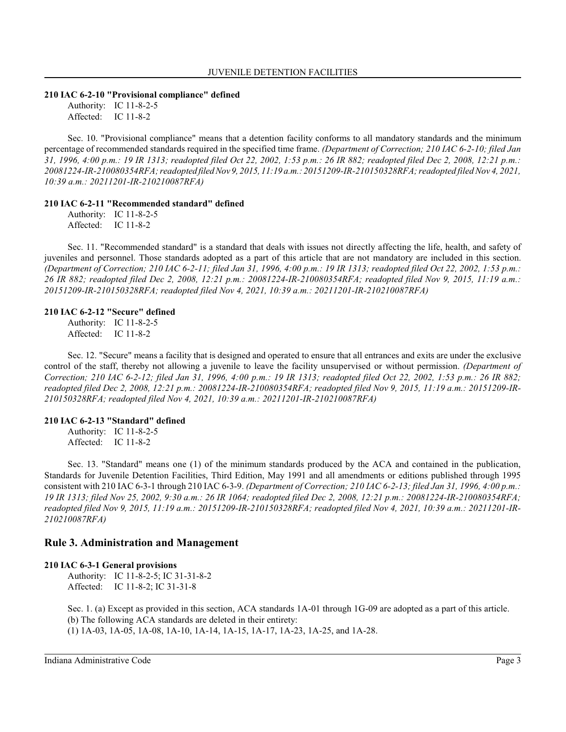#### **210 IAC 6-2-10 "Provisional compliance" defined**

Authority: IC 11-8-2-5 Affected: IC 11-8-2

Sec. 10. "Provisional compliance" means that a detention facility conforms to all mandatory standards and the minimum percentage of recommended standards required in the specified time frame. *(Department of Correction; 210 IAC 6-2-10; filed Jan 31, 1996, 4:00 p.m.: 19 IR 1313; readopted filed Oct 22, 2002, 1:53 p.m.: 26 IR 882; readopted filed Dec 2, 2008, 12:21 p.m.: 20081224-IR-210080354RFA; readopted filed Nov 9, 2015, 11:19 a.m.: 20151209-IR-210150328RFA; readopted filed Nov 4, 2021, 10:39 a.m.: 20211201-IR-210210087RFA)*

## **210 IAC 6-2-11 "Recommended standard" defined**

Authority: IC 11-8-2-5 Affected: IC 11-8-2

Sec. 11. "Recommended standard" is a standard that deals with issues not directly affecting the life, health, and safety of juveniles and personnel. Those standards adopted as a part of this article that are not mandatory are included in this section. *(Department of Correction; 210 IAC 6-2-11; filed Jan 31, 1996, 4:00 p.m.: 19 IR 1313; readopted filed Oct 22, 2002, 1:53 p.m.: 26 IR 882; readopted filed Dec 2, 2008, 12:21 p.m.: 20081224-IR-210080354RFA; readopted filed Nov 9, 2015, 11:19 a.m.: 20151209-IR-210150328RFA; readopted filed Nov 4, 2021, 10:39 a.m.: 20211201-IR-210210087RFA)*

#### **210 IAC 6-2-12 "Secure" defined**

Authority: IC 11-8-2-5 Affected: IC 11-8-2

Sec. 12. "Secure" means a facility that is designed and operated to ensure that all entrances and exits are under the exclusive control of the staff, thereby not allowing a juvenile to leave the facility unsupervised or without permission. *(Department of Correction; 210 IAC 6-2-12; filed Jan 31, 1996, 4:00 p.m.: 19 IR 1313; readopted filed Oct 22, 2002, 1:53 p.m.: 26 IR 882; readopted filed Dec 2, 2008, 12:21 p.m.: 20081224-IR-210080354RFA; readopted filed Nov 9, 2015, 11:19 a.m.: 20151209-IR-210150328RFA; readopted filed Nov 4, 2021, 10:39 a.m.: 20211201-IR-210210087RFA)*

#### **210 IAC 6-2-13 "Standard" defined**

Authority: IC 11-8-2-5 Affected: IC 11-8-2

Sec. 13. "Standard" means one (1) of the minimum standards produced by the ACA and contained in the publication, Standards for Juvenile Detention Facilities, Third Edition, May 1991 and all amendments or editions published through 1995 consistent with 210 IAC 6-3-1 through 210 IAC 6-3-9. *(Department of Correction; 210 IAC 6-2-13; filed Jan 31, 1996, 4:00 p.m.: 19 IR 1313; filed Nov 25, 2002, 9:30 a.m.: 26 IR 1064; readopted filed Dec 2, 2008, 12:21 p.m.: 20081224-IR-210080354RFA; readopted filed Nov 9, 2015, 11:19 a.m.: 20151209-IR-210150328RFA; readopted filed Nov 4, 2021, 10:39 a.m.: 20211201-IR-210210087RFA)*

## **Rule 3. Administration and Management**

#### **210 IAC 6-3-1 General provisions**

Authority: IC 11-8-2-5; IC 31-31-8-2 Affected: IC 11-8-2; IC 31-31-8

Sec. 1. (a) Except as provided in this section, ACA standards 1A-01 through 1G-09 are adopted as a part of this article. (b) The following ACA standards are deleted in their entirety: (1) 1A-03, 1A-05, 1A-08, 1A-10, 1A-14, 1A-15, 1A-17, 1A-23, 1A-25, and 1A-28.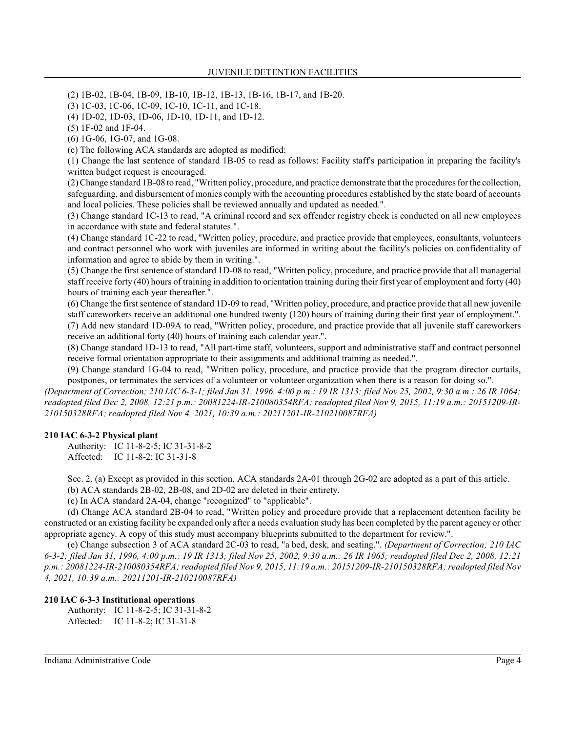(2) 1B-02, 1B-04, 1B-09, 1B-10, 1B-12, 1B-13, 1B-16, 1B-17, and 1B-20.

(3) 1C-03, 1C-06, 1C-09, 1C-10, 1C-11, and 1C-18.

(4) 1D-02, 1D-03, 1D-06, 1D-10, 1D-11, and 1D-12.

(5) 1F-02 and 1F-04.

(6) 1G-06, 1G-07, and 1G-08.

(c) The following ACA standards are adopted as modified:

(1) Change the last sentence of standard 1B-05 to read as follows: Facility staff's participation in preparing the facility's written budget request is encouraged.

(2) Change standard 1B-08 to read, "Written policy, procedure, and practice demonstrate that the procedures for the collection, safeguarding, and disbursement of monies comply with the accounting procedures established by the state board of accounts and local policies. These policies shall be reviewed annually and updated as needed.".

(3) Change standard 1C-13 to read, "A criminal record and sex offender registry check is conducted on all new employees in accordance with state and federal statutes.".

(4) Change standard 1C-22 to read, "Written policy, procedure, and practice provide that employees, consultants, volunteers and contract personnel who work with juveniles are informed in writing about the facility's policies on confidentiality of information and agree to abide by them in writing.".

(5) Change the first sentence of standard 1D-08 to read, "Written policy, procedure, and practice provide that all managerial staff receive forty (40) hours of training in addition to orientation training during their first year of employment and forty (40) hours of training each year thereafter.".

(6) Change the first sentence of standard 1D-09 to read, "Written policy, procedure, and practice provide that all new juvenile staff careworkers receive an additional one hundred twenty (120) hours of training during their first year of employment.". (7) Add new standard 1D-09A to read, "Written policy, procedure, and practice provide that all juvenile staff careworkers receive an additional forty (40) hours of training each calendar year.".

(8) Change standard 1D-13 to read, "All part-time staff, volunteers, support and administrative staff and contract personnel receive formal orientation appropriate to their assignments and additional training as needed.".

(9) Change standard 1G-04 to read, "Written policy, procedure, and practice provide that the program director curtails, postpones, or terminates the services of a volunteer or volunteer organization when there is a reason for doing so.".

*(Department of Correction; 210 IAC 6-3-1; filed Jan 31, 1996, 4:00 p.m.: 19 IR 1313; filed Nov 25, 2002, 9:30 a.m.: 26 IR 1064; readopted filed Dec 2, 2008, 12:21 p.m.: 20081224-IR-210080354RFA; readopted filed Nov 9, 2015, 11:19 a.m.: 20151209-IR-210150328RFA; readopted filed Nov 4, 2021, 10:39 a.m.: 20211201-IR-210210087RFA)*

## **210 IAC 6-3-2 Physical plant**

Authority: IC 11-8-2-5; IC 31-31-8-2 Affected: IC 11-8-2; IC 31-31-8

Sec. 2. (a) Except as provided in this section, ACA standards 2A-01 through 2G-02 are adopted as a part of this article.

(b) ACA standards 2B-02, 2B-08, and 2D-02 are deleted in their entirety.

(c) In ACA standard 2A-04, change "recognized" to "applicable".

(d) Change ACA standard 2B-04 to read, "Written policy and procedure provide that a replacement detention facility be constructed or an existing facility be expanded only after a needs evaluation study has been completed by the parent agency or other appropriate agency. A copy of this study must accompany blueprints submitted to the department for review.".

(e) Change subsection 3 of ACA standard 2C-03 to read, "a bed, desk, and seating.". *(Department of Correction; 210 IAC 6-3-2; filed Jan 31, 1996, 4:00 p.m.: 19 IR 1313; filed Nov 25, 2002, 9:30 a.m.: 26 IR 1065; readopted filed Dec 2, 2008, 12:21 p.m.: 20081224-IR-210080354RFA; readopted filed Nov 9, 2015, 11:19 a.m.: 20151209-IR-210150328RFA; readopted filed Nov 4, 2021, 10:39 a.m.: 20211201-IR-210210087RFA)*

## **210 IAC 6-3-3 Institutional operations**

Authority: IC 11-8-2-5; IC 31-31-8-2 Affected: IC 11-8-2; IC 31-31-8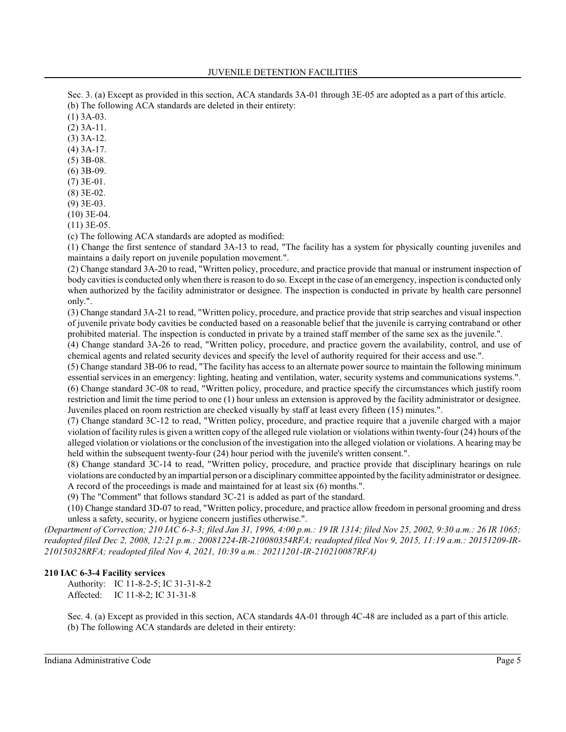Sec. 3. (a) Except as provided in this section, ACA standards 3A-01 through 3E-05 are adopted as a part of this article. (b) The following ACA standards are deleted in their entirety:

(1) 3A-03.

(2) 3A-11.

(3) 3A-12.

(4) 3A-17.

(5) 3B-08.

(6) 3B-09.

(7) 3E-01.

(8) 3E-02.

(9) 3E-03. (10) 3E-04.

(11) 3E-05.

(c) The following ACA standards are adopted as modified:

(1) Change the first sentence of standard 3A-13 to read, "The facility has a system for physically counting juveniles and maintains a daily report on juvenile population movement.".

(2) Change standard 3A-20 to read, "Written policy, procedure, and practice provide that manual or instrument inspection of body cavities is conducted only when there is reason to do so. Except in the case of an emergency, inspection is conducted only when authorized by the facility administrator or designee. The inspection is conducted in private by health care personnel only.".

(3) Change standard 3A-21 to read, "Written policy, procedure, and practice provide that strip searches and visual inspection of juvenile private body cavities be conducted based on a reasonable belief that the juvenile is carrying contraband or other prohibited material. The inspection is conducted in private by a trained staff member of the same sex as the juvenile.".

(4) Change standard 3A-26 to read, "Written policy, procedure, and practice govern the availability, control, and use of chemical agents and related security devices and specify the level of authority required for their access and use.".

(5) Change standard 3B-06 to read, "The facility has access to an alternate power source to maintain the following minimum essential services in an emergency: lighting, heating and ventilation, water, security systems and communications systems.". (6) Change standard 3C-08 to read, "Written policy, procedure, and practice specify the circumstances which justify room restriction and limit the time period to one (1) hour unless an extension is approved by the facility administrator or designee. Juveniles placed on room restriction are checked visually by staff at least every fifteen (15) minutes.".

(7) Change standard 3C-12 to read, "Written policy, procedure, and practice require that a juvenile charged with a major violation of facility rules is given a written copy of the alleged rule violation or violations within twenty-four (24) hours of the alleged violation or violations or the conclusion of the investigation into the alleged violation or violations. A hearing may be held within the subsequent twenty-four (24) hour period with the juvenile's written consent.".

(8) Change standard 3C-14 to read, "Written policy, procedure, and practice provide that disciplinary hearings on rule violations are conducted by an impartial person or a disciplinary committee appointed by the facilityadministrator or designee. A record of the proceedings is made and maintained for at least six (6) months.".

(9) The "Comment" that follows standard 3C-21 is added as part of the standard.

(10) Change standard 3D-07 to read, "Written policy, procedure, and practice allow freedom in personal grooming and dress unless a safety, security, or hygiene concern justifies otherwise.".

*(Department of Correction; 210 IAC 6-3-3; filed Jan 31, 1996, 4:00 p.m.: 19 IR 1314; filed Nov 25, 2002, 9:30 a.m.: 26 IR 1065; readopted filed Dec 2, 2008, 12:21 p.m.: 20081224-IR-210080354RFA; readopted filed Nov 9, 2015, 11:19 a.m.: 20151209-IR-210150328RFA; readopted filed Nov 4, 2021, 10:39 a.m.: 20211201-IR-210210087RFA)*

## **210 IAC 6-3-4 Facility services**

Authority: IC 11-8-2-5; IC 31-31-8-2 Affected: IC 11-8-2; IC 31-31-8

Sec. 4. (a) Except as provided in this section, ACA standards 4A-01 through 4C-48 are included as a part of this article. (b) The following ACA standards are deleted in their entirety: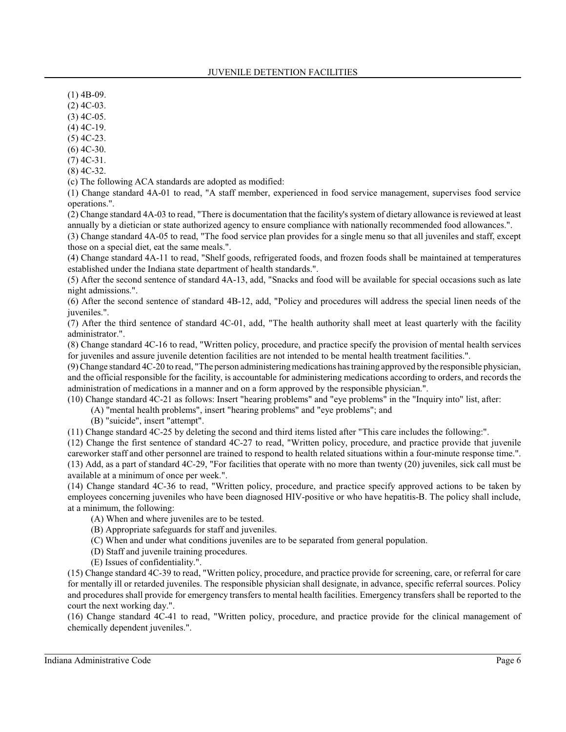- $(1)$  4B-09.
- (2) 4C-03.
- (3) 4C-05.
- (4) 4C-19.
- (5) 4C-23.
- (6) 4C-30.
- (7) 4C-31.
- (8) 4C-32.
- (c) The following ACA standards are adopted as modified:
- (1) Change standard 4A-01 to read, "A staff member, experienced in food service management, supervises food service operations.".
- (2) Change standard 4A-03 to read, "There is documentation that the facility's system of dietary allowance is reviewed at least annually by a dietician or state authorized agency to ensure compliance with nationally recommended food allowances.".
- (3) Change standard 4A-05 to read, "The food service plan provides for a single menu so that all juveniles and staff, except those on a special diet, eat the same meals.".
- (4) Change standard 4A-11 to read, "Shelf goods, refrigerated foods, and frozen foods shall be maintained at temperatures established under the Indiana state department of health standards.".
- (5) After the second sentence of standard 4A-13, add, "Snacks and food will be available for special occasions such as late night admissions.".
- (6) After the second sentence of standard 4B-12, add, "Policy and procedures will address the special linen needs of the iuveniles.".
- (7) After the third sentence of standard 4C-01, add, "The health authority shall meet at least quarterly with the facility administrator.".
- (8) Change standard 4C-16 to read, "Written policy, procedure, and practice specify the provision of mental health services for juveniles and assure juvenile detention facilities are not intended to be mental health treatment facilities.".
- (9) Change standard 4C-20 to read, "The person administering medications has training approved by the responsible physician, and the official responsible for the facility, is accountable for administering medications according to orders, and records the administration of medications in a manner and on a form approved by the responsible physician.".
- (10) Change standard 4C-21 as follows: Insert "hearing problems" and "eye problems" in the "Inquiry into" list, after:
	- (A) "mental health problems", insert "hearing problems" and "eye problems"; and
	- (B) "suicide", insert "attempt".
- (11) Change standard 4C-25 by deleting the second and third items listed after "This care includes the following:".
- (12) Change the first sentence of standard 4C-27 to read, "Written policy, procedure, and practice provide that juvenile careworker staff and other personnel are trained to respond to health related situations within a four-minute response time.". (13) Add, as a part of standard 4C-29, "For facilities that operate with no more than twenty (20) juveniles, sick call must be available at a minimum of once per week.".
- (14) Change standard 4C-36 to read, "Written policy, procedure, and practice specify approved actions to be taken by employees concerning juveniles who have been diagnosed HIV-positive or who have hepatitis-B. The policy shall include, at a minimum, the following:
	- (A) When and where juveniles are to be tested.
	- (B) Appropriate safeguards for staff and juveniles.
	- (C) When and under what conditions juveniles are to be separated from general population.
	- (D) Staff and juvenile training procedures.
	- (E) Issues of confidentiality.".
- (15) Change standard 4C-39 to read, "Written policy, procedure, and practice provide for screening, care, or referral for care for mentally ill or retarded juveniles. The responsible physician shall designate, in advance, specific referral sources. Policy and procedures shall provide for emergency transfers to mental health facilities. Emergency transfers shall be reported to the court the next working day.".
- (16) Change standard 4C-41 to read, "Written policy, procedure, and practice provide for the clinical management of chemically dependent juveniles.".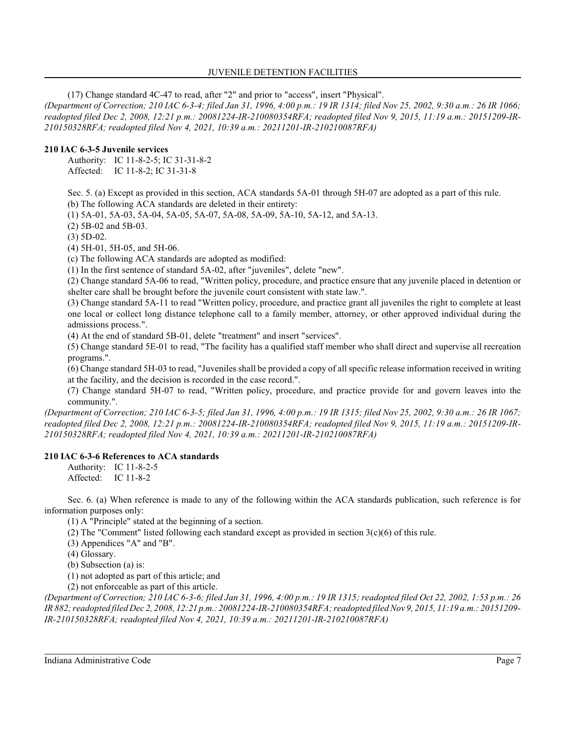## JUVENILE DETENTION FACILITIES

(17) Change standard 4C-47 to read, after "2" and prior to "access", insert "Physical".

*(Department of Correction; 210 IAC 6-3-4; filed Jan 31, 1996, 4:00 p.m.: 19 IR 1314; filed Nov 25, 2002, 9:30 a.m.: 26 IR 1066; readopted filed Dec 2, 2008, 12:21 p.m.: 20081224-IR-210080354RFA; readopted filed Nov 9, 2015, 11:19 a.m.: 20151209-IR-210150328RFA; readopted filed Nov 4, 2021, 10:39 a.m.: 20211201-IR-210210087RFA)*

## **210 IAC 6-3-5 Juvenile services**

Authority: IC 11-8-2-5; IC 31-31-8-2 Affected: IC 11-8-2; IC 31-31-8

Sec. 5. (a) Except as provided in this section, ACA standards 5A-01 through 5H-07 are adopted as a part of this rule. (b) The following ACA standards are deleted in their entirety:

(1) 5A-01, 5A-03, 5A-04, 5A-05, 5A-07, 5A-08, 5A-09, 5A-10, 5A-12, and 5A-13.

(2) 5B-02 and 5B-03.

(3) 5D-02.

(4) 5H-01, 5H-05, and 5H-06.

(c) The following ACA standards are adopted as modified:

(1) In the first sentence of standard 5A-02, after "juveniles", delete "new".

(2) Change standard 5A-06 to read, "Written policy, procedure, and practice ensure that any juvenile placed in detention or shelter care shall be brought before the juvenile court consistent with state law.".

(3) Change standard 5A-11 to read "Written policy, procedure, and practice grant all juveniles the right to complete at least one local or collect long distance telephone call to a family member, attorney, or other approved individual during the admissions process.".

(4) At the end of standard 5B-01, delete "treatment" and insert "services".

(5) Change standard 5E-01 to read, "The facility has a qualified staff member who shall direct and supervise all recreation programs.".

(6) Change standard 5H-03 to read, "Juveniles shall be provided a copy of all specific release information received in writing at the facility, and the decision is recorded in the case record.".

(7) Change standard 5H-07 to read, "Written policy, procedure, and practice provide for and govern leaves into the community.".

*(Department of Correction; 210 IAC 6-3-5; filed Jan 31, 1996, 4:00 p.m.: 19 IR 1315; filed Nov 25, 2002, 9:30 a.m.: 26 IR 1067; readopted filed Dec 2, 2008, 12:21 p.m.: 20081224-IR-210080354RFA; readopted filed Nov 9, 2015, 11:19 a.m.: 20151209-IR-210150328RFA; readopted filed Nov 4, 2021, 10:39 a.m.: 20211201-IR-210210087RFA)*

## **210 IAC 6-3-6 References to ACA standards**

Authority: IC 11-8-2-5 Affected: IC 11-8-2

Sec. 6. (a) When reference is made to any of the following within the ACA standards publication, such reference is for information purposes only:

(1) A "Principle" stated at the beginning of a section.

(2) The "Comment" listed following each standard except as provided in section 3(c)(6) of this rule.

(3) Appendices "A" and "B".

(4) Glossary.

(b) Subsection (a) is:

(1) not adopted as part of this article; and

(2) not enforceable as part of this article.

*(Department of Correction; 210 IAC 6-3-6; filed Jan 31, 1996, 4:00 p.m.: 19 IR 1315; readopted filed Oct 22, 2002, 1:53 p.m.: 26 IR 882;readopted filed Dec 2, 2008, 12:21 p.m.: 20081224-IR-210080354RFA; readopted filed Nov 9, 2015, 11:19 a.m.: 20151209- IR-210150328RFA; readopted filed Nov 4, 2021, 10:39 a.m.: 20211201-IR-210210087RFA)*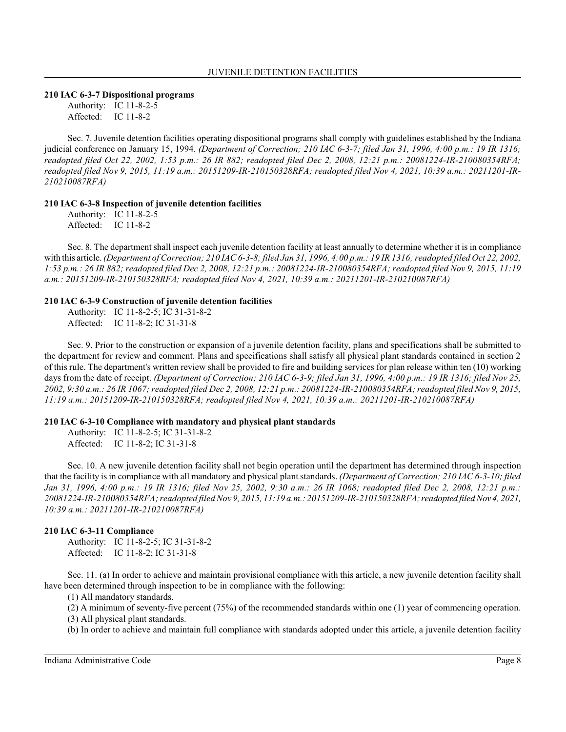#### **210 IAC 6-3-7 Dispositional programs**

Authority: IC 11-8-2-5 Affected: IC 11-8-2

Sec. 7. Juvenile detention facilities operating dispositional programs shall comply with guidelines established by the Indiana judicial conference on January 15, 1994. *(Department of Correction; 210 IAC 6-3-7; filed Jan 31, 1996, 4:00 p.m.: 19 IR 1316; readopted filed Oct 22, 2002, 1:53 p.m.: 26 IR 882; readopted filed Dec 2, 2008, 12:21 p.m.: 20081224-IR-210080354RFA; readopted filed Nov 9, 2015, 11:19 a.m.: 20151209-IR-210150328RFA; readopted filed Nov 4, 2021, 10:39 a.m.: 20211201-IR-210210087RFA)*

## **210 IAC 6-3-8 Inspection of juvenile detention facilities**

Authority: IC 11-8-2-5 Affected: IC 11-8-2

Sec. 8. The department shall inspect each juvenile detention facility at least annually to determine whether it is in compliance with this article. *(Department of Correction; 210 IAC 6-3-8; filed Jan 31, 1996, 4:00 p.m.: 19 IR 1316; readopted filed Oct 22, 2002, 1:53 p.m.: 26 IR 882; readopted filed Dec 2, 2008, 12:21 p.m.: 20081224-IR-210080354RFA; readopted filed Nov 9, 2015, 11:19 a.m.: 20151209-IR-210150328RFA; readopted filed Nov 4, 2021, 10:39 a.m.: 20211201-IR-210210087RFA)*

#### **210 IAC 6-3-9 Construction of juvenile detention facilities**

Authority: IC 11-8-2-5; IC 31-31-8-2 Affected: IC 11-8-2; IC 31-31-8

Sec. 9. Prior to the construction or expansion of a juvenile detention facility, plans and specifications shall be submitted to the department for review and comment. Plans and specifications shall satisfy all physical plant standards contained in section 2 of this rule. The department's written review shall be provided to fire and building services for plan release within ten (10) working days from the date of receipt. *(Department of Correction; 210 IAC 6-3-9; filed Jan 31, 1996, 4:00 p.m.: 19 IR 1316; filed Nov 25, 2002, 9:30 a.m.: 26 IR 1067; readopted filed Dec 2, 2008, 12:21 p.m.: 20081224-IR-210080354RFA; readopted filed Nov 9, 2015, 11:19 a.m.: 20151209-IR-210150328RFA; readopted filed Nov 4, 2021, 10:39 a.m.: 20211201-IR-210210087RFA)*

## **210 IAC 6-3-10 Compliance with mandatory and physical plant standards**

Authority: IC 11-8-2-5; IC 31-31-8-2 Affected: IC 11-8-2; IC 31-31-8

Sec. 10. A new juvenile detention facility shall not begin operation until the department has determined through inspection that the facility is in compliance with all mandatory and physical plant standards. *(Department of Correction; 210 IAC 6-3-10; filed Jan 31, 1996, 4:00 p.m.: 19 IR 1316; filed Nov 25, 2002, 9:30 a.m.: 26 IR 1068; readopted filed Dec 2, 2008, 12:21 p.m.: 20081224-IR-210080354RFA; readopted filed Nov 9, 2015, 11:19 a.m.: 20151209-IR-210150328RFA;readopted filed Nov 4, 2021, 10:39 a.m.: 20211201-IR-210210087RFA)*

## **210 IAC 6-3-11 Compliance**

Authority: IC 11-8-2-5; IC 31-31-8-2 Affected: IC 11-8-2; IC 31-31-8

Sec. 11. (a) In order to achieve and maintain provisional compliance with this article, a new juvenile detention facility shall have been determined through inspection to be in compliance with the following:

(1) All mandatory standards.

(2) A minimum of seventy-five percent (75%) of the recommended standards within one (1) year of commencing operation.

(3) All physical plant standards.

(b) In order to achieve and maintain full compliance with standards adopted under this article, a juvenile detention facility